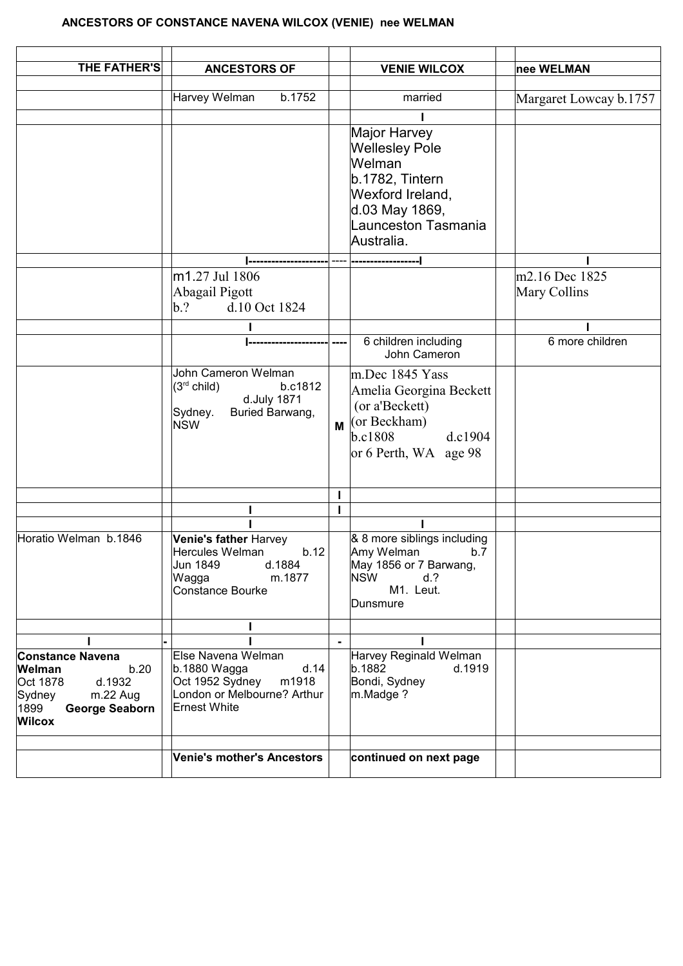## **ANCESTORS OF CONSTANCE NAVENA WILCOX (VENIE) nee WELMAN**

| <b>THE FATHER'S</b>                                                                                                                     | <b>ANCESTORS OF</b>                                                                                                          |   | <b>VENIE WILCOX</b>                                                                                                                           | nee WELMAN                     |
|-----------------------------------------------------------------------------------------------------------------------------------------|------------------------------------------------------------------------------------------------------------------------------|---|-----------------------------------------------------------------------------------------------------------------------------------------------|--------------------------------|
|                                                                                                                                         | Harvey Welman<br>b.1752                                                                                                      |   | married                                                                                                                                       | Margaret Lowcay b.1757         |
|                                                                                                                                         |                                                                                                                              |   |                                                                                                                                               |                                |
|                                                                                                                                         |                                                                                                                              |   | Major Harvey<br><b>Wellesley Pole</b><br>Welman<br>b.1782, Tintern<br>Wexford Ireland,<br>d.03 May 1869,<br>Launceston Tasmania<br>Australia. |                                |
|                                                                                                                                         |                                                                                                                              |   |                                                                                                                                               |                                |
|                                                                                                                                         | m1.27 Jul 1806<br>Abagail Pigott<br>d.10 Oct 1824<br>b.?                                                                     |   |                                                                                                                                               | m2.16 Dec 1825<br>Mary Collins |
|                                                                                                                                         |                                                                                                                              |   |                                                                                                                                               |                                |
|                                                                                                                                         |                                                                                                                              |   | 6 children including<br>John Cameron                                                                                                          | 6 more children                |
|                                                                                                                                         | John Cameron Welman<br>(3 <sup>rd</sup> child)<br>b.c1812<br>d.July 1871<br>Buried Barwang,<br>Sydney.<br> NSW               | M | m.Dec 1845 Yass<br>Amelia Georgina Beckett<br>(or a'Beckett)<br>(or Beckham)<br>b.c1808<br>d.c1904<br>or 6 Perth, WA age 98                   |                                |
|                                                                                                                                         |                                                                                                                              |   |                                                                                                                                               |                                |
|                                                                                                                                         |                                                                                                                              |   |                                                                                                                                               |                                |
| Horatio Welman b.1846                                                                                                                   | Venie's father Harvey<br>b.12<br>Hercules Welman<br>d.1884<br>Jun 1849<br>m.1877<br>Wagga<br>Constance Bourke                |   | & 8 more siblings including<br>Amy Welman<br>b.7<br>May 1856 or 7 Barwang,<br><b>NSW</b><br>d.?<br>M1. Leut.<br>Dunsmure                      |                                |
|                                                                                                                                         |                                                                                                                              |   |                                                                                                                                               |                                |
|                                                                                                                                         |                                                                                                                              |   |                                                                                                                                               |                                |
| <b>Constance Navena</b><br>b.20<br>Welman<br>Oct 1878<br>d.1932<br>Sydney<br>m.22 Aug<br>1899<br><b>George Seaborn</b><br><b>Wilcox</b> | Else Navena Welman<br>d.14<br>b.1880 Wagga<br>Oct 1952 Sydney<br>m1918<br>London or Melbourne? Arthur<br><b>Ernest White</b> |   | Harvey Reginald Welman<br>b.1882<br>d.1919<br>Bondi, Sydney<br>m.Madge?                                                                       |                                |
|                                                                                                                                         |                                                                                                                              |   |                                                                                                                                               |                                |
|                                                                                                                                         | <b>Venie's mother's Ancestors</b>                                                                                            |   | continued on next page                                                                                                                        |                                |